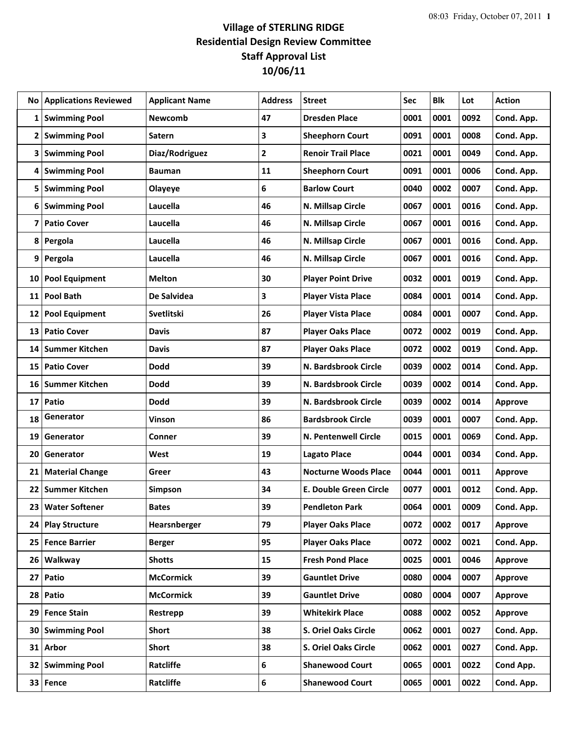## **Village of STERLING RIDGE Residential Design Review Committee Staff Approval List 10/06/11**

|              | <b>No Applications Reviewed</b> | <b>Applicant Name</b> | <b>Address</b>          | <b>Street</b>                 | Sec  | <b>Blk</b> | Lot  | <b>Action</b>  |
|--------------|---------------------------------|-----------------------|-------------------------|-------------------------------|------|------------|------|----------------|
|              | 1 Swimming Pool                 | Newcomb               | 47                      | <b>Dresden Place</b>          | 0001 | 0001       | 0092 | Cond. App.     |
| $\mathbf{2}$ | <b>Swimming Pool</b>            | <b>Satern</b>         | 3                       | <b>Sheephorn Court</b>        | 0091 | 0001       | 0008 | Cond. App.     |
|              | 3   Swimming Pool               | Diaz/Rodriguez        | $\overline{\mathbf{2}}$ | <b>Renoir Trail Place</b>     | 0021 | 0001       | 0049 | Cond. App.     |
| 4            | <b>Swimming Pool</b>            | <b>Bauman</b>         | 11                      | <b>Sheephorn Court</b>        | 0091 | 0001       | 0006 | Cond. App.     |
| 5            | <b>Swimming Pool</b>            | Olayeye               | 6                       | <b>Barlow Court</b>           | 0040 | 0002       | 0007 | Cond. App.     |
| 6            | <b>Swimming Pool</b>            | Laucella              | 46                      | N. Millsap Circle             | 0067 | 0001       | 0016 | Cond. App.     |
| 7            | <b>Patio Cover</b>              | Laucella              | 46                      | N. Millsap Circle             | 0067 | 0001       | 0016 | Cond. App.     |
| 8            | Pergola                         | Laucella              | 46                      | N. Millsap Circle             | 0067 | 0001       | 0016 | Cond. App.     |
|              | 9 Pergola                       | Laucella              | 46                      | N. Millsap Circle             | 0067 | 0001       | 0016 | Cond. App.     |
| 10           | <b>Pool Equipment</b>           | <b>Melton</b>         | 30                      | <b>Player Point Drive</b>     | 0032 | 0001       | 0019 | Cond. App.     |
| 11           | <b>Pool Bath</b>                | De Salvidea           | 3                       | <b>Player Vista Place</b>     | 0084 | 0001       | 0014 | Cond. App.     |
| 12           | <b>Pool Equipment</b>           | Svetlitski            | 26                      | <b>Player Vista Place</b>     | 0084 | 0001       | 0007 | Cond. App.     |
| 13           | <b>Patio Cover</b>              | <b>Davis</b>          | 87                      | <b>Player Oaks Place</b>      | 0072 | 0002       | 0019 | Cond. App.     |
| 14           | <b>Summer Kitchen</b>           | <b>Davis</b>          | 87                      | <b>Player Oaks Place</b>      | 0072 | 0002       | 0019 | Cond. App.     |
| 15           | <b>Patio Cover</b>              | <b>Dodd</b>           | 39                      | N. Bardsbrook Circle          | 0039 | 0002       | 0014 | Cond. App.     |
| 16           | <b>Summer Kitchen</b>           | <b>Dodd</b>           | 39                      | N. Bardsbrook Circle          | 0039 | 0002       | 0014 | Cond. App.     |
| 17           | Patio                           | <b>Dodd</b>           | 39                      | N. Bardsbrook Circle          | 0039 | 0002       | 0014 | Approve        |
| 18           | Generator                       | Vinson                | 86                      | <b>Bardsbrook Circle</b>      | 0039 | 0001       | 0007 | Cond. App.     |
| 19           | Generator                       | Conner                | 39                      | <b>N. Pentenwell Circle</b>   | 0015 | 0001       | 0069 | Cond. App.     |
| 20           | Generator                       | West                  | 19                      | <b>Lagato Place</b>           | 0044 | 0001       | 0034 | Cond. App.     |
| 21           | <b>Material Change</b>          | Greer                 | 43                      | <b>Nocturne Woods Place</b>   | 0044 | 0001       | 0011 | Approve        |
| 22           | Summer Kitchen                  | Simpson               | 34                      | <b>E. Double Green Circle</b> | 0077 | 0001       | 0012 | Cond. App.     |
|              | 23 Water Softener               | <b>Bates</b>          | 39                      | <b>Pendleton Park</b>         | 0064 | 0001       | 0009 | Cond. App.     |
|              | 24 Play Structure               | Hearsnberger          | 79                      | <b>Player Oaks Place</b>      | 0072 | 0002       | 0017 | Approve        |
|              | 25 Fence Barrier                | <b>Berger</b>         | 95                      | <b>Player Oaks Place</b>      | 0072 | 0002       | 0021 | Cond. App.     |
|              | 26 Walkway                      | <b>Shotts</b>         | 15                      | <b>Fresh Pond Place</b>       | 0025 | 0001       | 0046 | <b>Approve</b> |
|              | 27 Patio                        | <b>McCormick</b>      | 39                      | <b>Gauntlet Drive</b>         | 0080 | 0004       | 0007 | Approve        |
|              | 28 Patio                        | <b>McCormick</b>      | 39                      | <b>Gauntlet Drive</b>         | 0080 | 0004       | 0007 | Approve        |
| 29           | <b>Fence Stain</b>              | Restrepp              | 39                      | <b>Whitekirk Place</b>        | 0088 | 0002       | 0052 | Approve        |
|              | 30 Swimming Pool                | <b>Short</b>          | 38                      | S. Oriel Oaks Circle          | 0062 | 0001       | 0027 | Cond. App.     |
|              | 31 Arbor                        | Short                 | 38                      | S. Oriel Oaks Circle          | 0062 | 0001       | 0027 | Cond. App.     |
|              | 32 Swimming Pool                | Ratcliffe             | 6                       | <b>Shanewood Court</b>        | 0065 | 0001       | 0022 | Cond App.      |
|              | 33 Fence                        | Ratcliffe             | $\boldsymbol{6}$        | <b>Shanewood Court</b>        | 0065 | 0001       | 0022 | Cond. App.     |